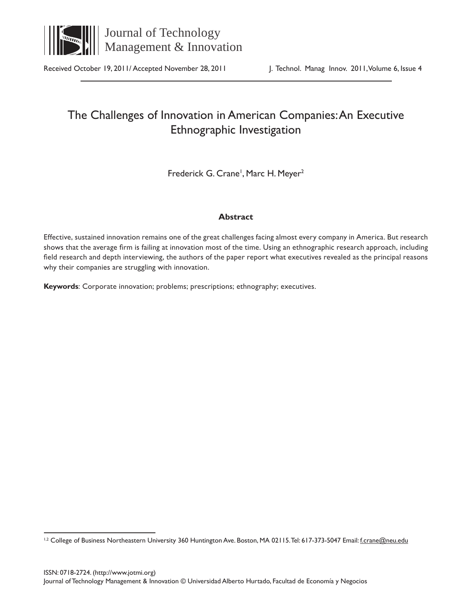

Received October 19, 2011/ Accepted November 28, 2011 J. Technol. Manag Innov. 2011, Volume 6, Issue 4

# The Challenges of Innovation in American Companies: An Executive Ethnographic Investigation

Frederick G. Crane<sup>1</sup>, Marc H. Meyer<sup>2</sup>

# **Abstract**

Effective, sustained innovation remains one of the great challenges facing almost every company in America. But research shows that the average firm is failing at innovation most of the time. Using an ethnographic research approach, including field research and depth interviewing, the authors of the paper report what executives revealed as the principal reasons why their companies are struggling with innovation.

**Keywords**: Corporate innovation; problems; prescriptions; ethnography; executives.

<sup>&</sup>lt;sup>1,2</sup> College of Business Northeastern University 360 Huntington Ave. Boston, MA 02115. Tel: 617-373-5047 Email: f.crane@neu.edu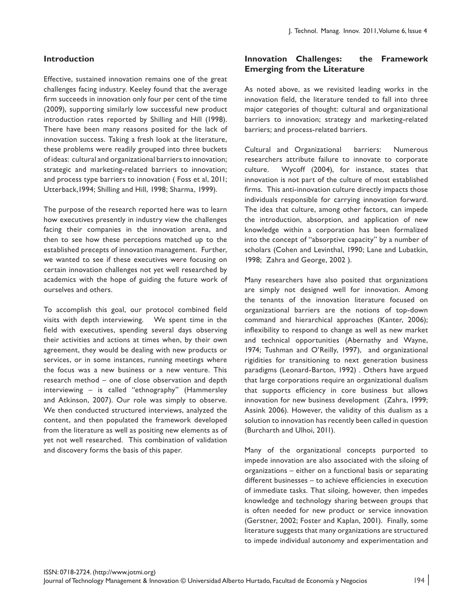#### **Introduction**

Effective, sustained innovation remains one of the great challenges facing industry. Keeley found that the average firm succeeds in innovation only four per cent of the time (2009), supporting similarly low successful new product introduction rates reported by Shilling and Hill (1998). There have been many reasons posited for the lack of innovation success. Taking a fresh look at the literature, these problems were readily grouped into three buckets of ideas: cultural and organizational barriers to innovation; strategic and marketing-related barriers to innovation; and process type barriers to innovation ( Foss et al, 2011; Utterback,1994; Shilling and Hill, 1998; Sharma, 1999).

The purpose of the research reported here was to learn how executives presently in industry view the challenges facing their companies in the innovation arena, and then to see how these perceptions matched up to the established precepts of innovation management. Further, we wanted to see if these executives were focusing on certain innovation challenges not yet well researched by academics with the hope of guiding the future work of ourselves and others.

To accomplish this goal, our protocol combined field visits with depth interviewing. We spent time in the field with executives, spending several days observing their activities and actions at times when, by their own agreement, they would be dealing with new products or services, or in some instances, running meetings where the focus was a new business or a new venture. This research method – one of close observation and depth interviewing – is called "ethnography" (Hammersley and Atkinson, 2007). Our role was simply to observe. We then conducted structured interviews, analyzed the content, and then populated the framework developed from the literature as well as positing new elements as of yet not well researched. This combination of validation and discovery forms the basis of this paper.

#### **Innovation Challenges: the Framework Emerging from the Literature**

As noted above, as we revisited leading works in the innovation field, the literature tended to fall into three major categories of thought: cultural and organizational barriers to innovation; strategy and marketing-related barriers; and process-related barriers.

Cultural and Organizational barriers: Numerous researchers attribute failure to innovate to corporate culture. Wycoff (2004), for instance, states that innovation is not part of the culture of most established firms. This anti-innovation culture directly impacts those individuals responsible for carrying innovation forward. The idea that culture, among other factors, can impede the introduction, absorption, and application of new knowledge within a corporation has been formalized into the concept of "absorptive capacity" by a number of scholars (Cohen and Levinthal, 1990; Lane and Lubatkin, 1998; Zahra and George, 2002 ).

Many researchers have also posited that organizations are simply not designed well for innovation. Among the tenants of the innovation literature focused on organizational barriers are the notions of top-down command and hierarchical approaches (Kanter, 2006); inflexibility to respond to change as well as new market and technical opportunities (Abernathy and Wayne, 1974; Tushman and O'Reilly, 1997), and organizational rigidities for transitioning to next generation business paradigms (Leonard-Barton, 1992) . Others have argued that large corporations require an organizational dualism that supports efficiency in core business but allows innovation for new business development (Zahra, 1999; Assink 2006). However, the validity of this dualism as a solution to innovation has recently been called in question (Burcharth and Ulhoi, 2011).

Many of the organizational concepts purported to impede innovation are also associated with the siloing of organizations – either on a functional basis or separating different businesses – to achieve efficiencies in execution of immediate tasks. That siloing, however, then impedes knowledge and technology sharing between groups that is often needed for new product or service innovation (Gerstner, 2002; Foster and Kaplan, 2001). Finally, some literature suggests that many organizations are structured to impede individual autonomy and experimentation and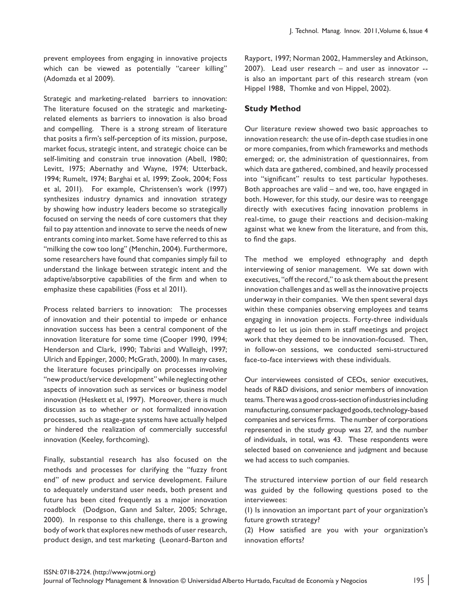prevent employees from engaging in innovative projects which can be viewed as potentially "career killing" (Adomzda et al 2009).

Strategic and marketing-related barriers to innovation: The literature focused on the strategic and marketingrelated elements as barriers to innovation is also broad and compelling. There is a strong stream of literature that posits a firm's self-perception of its mission, purpose, market focus, strategic intent, and strategic choice can be self-limiting and constrain true innovation (Abell, 1980; Levitt, 1975; Abernathy and Wayne, 1974; Utterback, 1994; Rumelt, 1974; Barghai et al, 1999; Zook, 2004; Foss et al, 2011). For example, Christensen's work (1997) synthesizes industry dynamics and innovation strategy by showing how industry leaders become so strategically focused on serving the needs of core customers that they fail to pay attention and innovate to serve the needs of new entrants coming into market. Some have referred to this as "milking the cow too long" (Menchin, 2004). Furthermore, some researchers have found that companies simply fail to understand the linkage between strategic intent and the adaptive/absorptive capabilities of the firm and when to emphasize these capabilities (Foss et al 2011).

Process related barriers to innovation: The processes of innovation and their potential to impede or enhance innovation success has been a central component of the innovation literature for some time (Cooper 1990, 1994; Henderson and Clark, 1990; Tabrizi and Walleigh, 1997; Ulrich and Eppinger, 2000; McGrath, 2000). In many cases, the literature focuses principally on processes involving "new product/service development" while neglecting other aspects of innovation such as services or business model innovation (Heskett et al, 1997). Moreover, there is much discussion as to whether or not formalized innovation processes, such as stage-gate systems have actually helped or hindered the realization of commercially successful innovation (Keeley, forthcoming).

Finally, substantial research has also focused on the methods and processes for clarifying the "fuzzy front end" of new product and service development. Failure to adequately understand user needs, both present and future has been cited frequently as a major innovation roadblock (Dodgson, Gann and Salter, 2005; Schrage, 2000). In response to this challenge, there is a growing body of work that explores new methods of user research, product design, and test marketing (Leonard-Barton and

Rayport, 1997; Norman 2002, Hammersley and Atkinson, 2007). Lead user research – and user as innovator - is also an important part of this research stream (von Hippel 1988, Thomke and von Hippel, 2002).

## **Study Method**

Our literature review showed two basic approaches to innovation research: the use of in-depth case studies in one or more companies, from which frameworks and methods emerged; or, the administration of questionnaires, from which data are gathered, combined, and heavily processed into "significant" results to test particular hypotheses. Both approaches are valid – and we, too, have engaged in both. However, for this study, our desire was to reengage directly with executives facing innovation problems in real-time, to gauge their reactions and decision-making against what we knew from the literature, and from this, to find the gaps.

The method we employed ethnography and depth interviewing of senior management. We sat down with executives, "off the record," to ask them about the present innovation challenges and as well as the innovative projects underway in their companies. We then spent several days within these companies observing employees and teams engaging in innovation projects. Forty-three individuals agreed to let us join them in staff meetings and project work that they deemed to be innovation-focused. Then, in follow-on sessions, we conducted semi-structured face-to-face interviews with these individuals.

Our interviewees consisted of CEOs, senior executives, heads of R&D divisions, and senior members of innovation teams. There was a good cross-section of industries including manufacturing, consumer packaged goods, technology-based companies and services firms. The number of corporations represented in the study group was 27, and the number of individuals, in total, was 43. These respondents were selected based on convenience and judgment and because we had access to such companies.

The structured interview portion of our field research was guided by the following questions posed to the interviewees:

(1) Is innovation an important part of your organization's future growth strategy?

(2) How satisfied are you with your organization's innovation efforts?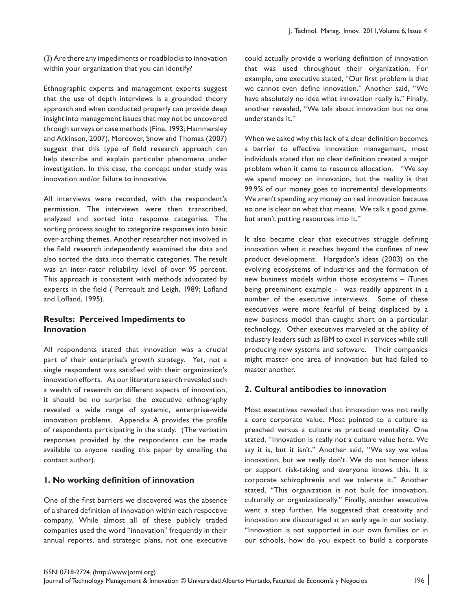(3) Are there any impediments or roadblocks to innovation within your organization that you can identify?

Ethnographic experts and management experts suggest that the use of depth interviews is a grounded theory approach and when conducted properly can provide deep insight into management issues that may not be uncovered through surveys or case methods (Fine, 1993; Hammersley and Atkinson, 2007). Moreover, Snow and Thomas (2007) suggest that this type of field research approach can help describe and explain particular phenomena under investigation. In this case, the concept under study was innovation and/or failure to innovative.

All interviews were recorded, with the respondent's permission. The interviews were then transcribed, analyzed and sorted into response categories. The sorting process sought to categorize responses into basic over-arching themes. Another researcher not involved in the field research independently examined the data and also sorted the data into thematic categories. The result was an inter-rater reliability level of over 95 percent. This approach is consistent with methods advocated by experts in the field ( Perreault and Leigh, 1989; Lofland and Lofland, 1995).

#### **Results: Perceived Impediments to Innovation**

All respondents stated that innovation was a crucial part of their enterprise's growth strategy. Yet, not a single respondent was satisfied with their organization's innovation efforts. As our literature search revealed such a wealth of research on different aspects of innovation, it should be no surprise the executive ethnography revealed a wide range of systemic, enterprise-wide innovation problems. Appendix A provides the profile of respondents participating in the study. (The verbatim responses provided by the respondents can be made available to anyone reading this paper by emailing the contact author).

## **1. No working definition of innovation**

One of the first barriers we discovered was the absence of a shared definition of innovation within each respective company. While almost all of these publicly traded companies used the word "innovation" frequently in their annual reports, and strategic plans, not one executive could actually provide a working definition of innovation that was used throughout their organization. For example, one executive stated, "Our first problem is that we cannot even define innovation." Another said, "We have absolutely no idea what innovation really is." Finally, another revealed, "We talk about innovation but no one understands it."

When we asked why this lack of a clear definition becomes a barrier to effective innovation management, most individuals stated that no clear definition created a major problem when it came to resource allocation. "We say we spend money on innovation, but the reality is that 99.9% of our money goes to incremental developments. We aren't spending any money on real innovation because no one is clear on what that means. We talk a good game, but aren't putting resources into it."

It also became clear that executives struggle defining innovation when it reaches beyond the confines of new product development. Hargadon's ideas (2003) on the evolving ecosystems of industries and the formation of new business models within those ecosystems – iTunes being preeminent example - was readily apparent in a number of the executive interviews. Some of these executives were more fearful of being displaced by a new business model than caught short on a particular technology. Other executives marveled at the ability of industry leaders such as IBM to excel in services while still producing new systems and software. Their companies might master one area of innovation but had failed to master another.

## **2. Cultural antibodies to innovation**

Most executives revealed that innovation was not really a core corporate value. Most pointed to a culture as preached versus a culture as practiced mentality. One stated, "Innovation is really not a culture value here. We say it is, but it isn't." Another said, "We say we value innovation, but we really don't. We do not honor ideas or support risk-taking and everyone knows this. It is corporate schizophrenia and we tolerate it." Another stated, "This organization is not built for innovation, culturally or organizationally." Finally, another executive went a step further. He suggested that creativity and innovation are discouraged at an early age in our society. "Innovation is not supported in our own families or in our schools, how do you expect to build a corporate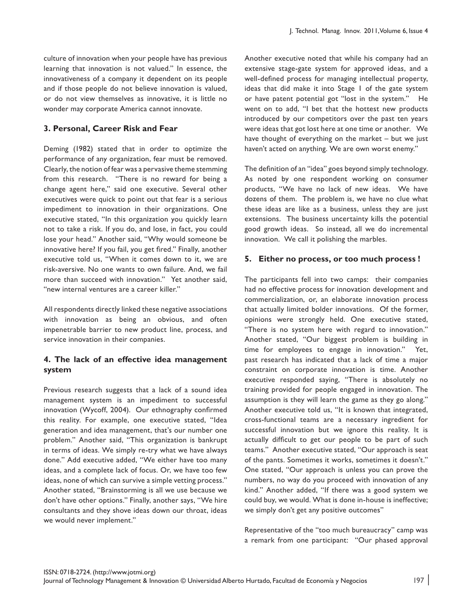culture of innovation when your people have has previous learning that innovation is not valued." In essence, the innovativeness of a company it dependent on its people and if those people do not believe innovation is valued, or do not view themselves as innovative, it is little no wonder may corporate America cannot innovate.

## **3. Personal, Career Risk and Fear**

Deming (1982) stated that in order to optimize the performance of any organization, fear must be removed. Clearly, the notion of fear was a pervasive theme stemming from this research. "There is no reward for being a change agent here," said one executive. Several other executives were quick to point out that fear is a serious impediment to innovation in their organizations. One executive stated, "In this organization you quickly learn not to take a risk. If you do, and lose, in fact, you could lose your head." Another said, "Why would someone be innovative here? If you fail, you get fired." Finally, another executive told us, "When it comes down to it, we are risk-aversive. No one wants to own failure. And, we fail more than succeed with innovation." Yet another said, "new internal ventures are a career killer."

All respondents directly linked these negative associations with innovation as being an obvious, and often impenetrable barrier to new product line, process, and service innovation in their companies.

## **4. The lack of an effective idea management system**

Previous research suggests that a lack of a sound idea management system is an impediment to successful innovation (Wycoff, 2004). Our ethnography confirmed this reality. For example, one executive stated, "Idea generation and idea management, that's our number one problem." Another said, "This organization is bankrupt in terms of ideas. We simply re-try what we have always done." Add executive added, "We either have too many ideas, and a complete lack of focus. Or, we have too few ideas, none of which can survive a simple vetting process." Another stated, "Brainstorming is all we use because we don't have other options." Finally, another says, "We hire consultants and they shove ideas down our throat, ideas we would never implement."

Another executive noted that while his company had an extensive stage-gate system for approved ideas, and a well-defined process for managing intellectual property, ideas that did make it into Stage 1 of the gate system or have patent potential got "lost in the system." He went on to add, "I bet that the hottest new products introduced by our competitors over the past ten years were ideas that got lost here at one time or another. We have thought of everything on the market – but we just haven't acted on anything. We are own worst enemy."

The definition of an "idea" goes beyond simply technology. As noted by one respondent working on consumer products, "We have no lack of new ideas. We have dozens of them. The problem is, we have no clue what these ideas are like as a business, unless they are just extensions. The business uncertainty kills the potential good growth ideas. So instead, all we do incremental innovation. We call it polishing the marbles.

## **5. Either no process, or too much process !**

The participants fell into two camps: their companies had no effective process for innovation development and commercialization, or, an elaborate innovation process that actually limited bolder innovations. Of the former, opinions were strongly held. One executive stated, "There is no system here with regard to innovation." Another stated, "Our biggest problem is building in time for employees to engage in innovation." Yet, past research has indicated that a lack of time a major constraint on corporate innovation is time. Another executive responded saying, "There is absolutely no training provided for people engaged in innovation. The assumption is they will learn the game as they go along." Another executive told us, "It is known that integrated, cross-functional teams are a necessary ingredient for successful innovation but we ignore this reality. It is actually difficult to get our people to be part of such teams." Another executive stated, "Our approach is seat of the pants. Sometimes it works, sometimes it doesn't." One stated, "Our approach is unless you can prove the numbers, no way do you proceed with innovation of any kind." Another added, "If there was a good system we could buy, we would. What is done in-house is ineffective; we simply don't get any positive outcomes"

Representative of the "too much bureaucracy" camp was a remark from one participant: "Our phased approval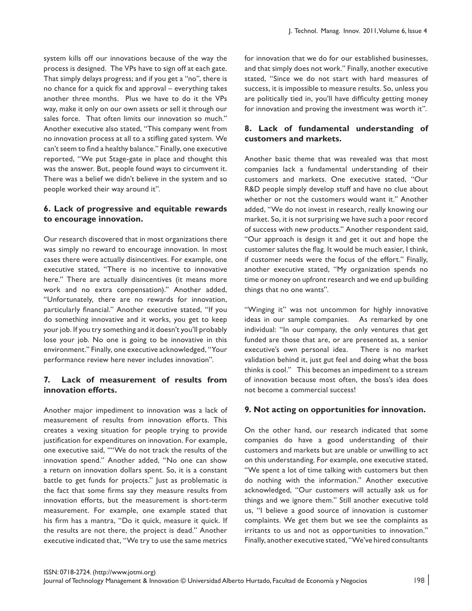system kills off our innovations because of the way the process is designed. The VPs have to sign off at each gate. That simply delays progress; and if you get a "no", there is no chance for a quick fix and approval – everything takes another three months. Plus we have to do it the VPs way, make it only on our own assets or sell it through our sales force. That often limits our innovation so much." Another executive also stated, "This company went from no innovation process at all to a stifling gated system. We can't seem to find a healthy balance." Finally, one executive reported, "We put Stage-gate in place and thought this was the answer. But, people found ways to circumvent it. There was a belief we didn't believe in the system and so people worked their way around it".

## **6. Lack of progressive and equitable rewards to encourage innovation.**

Our research discovered that in most organizations there was simply no reward to encourage innovation. In most cases there were actually disincentives. For example, one executive stated, "There is no incentive to innovative here." There are actually disincentives (it means more work and no extra compensation)." Another added, "Unfortunately, there are no rewards for innovation, particularly financial." Another executive stated, "If you do something innovative and it works, you get to keep your job. If you try something and it doesn't you'll probably lose your job. No one is going to be innovative in this environment." Finally, one executive acknowledged, "Your performance review here never includes innovation".

## **7. Lack of measurement of results from innovation efforts.**

Another major impediment to innovation was a lack of measurement of results from innovation efforts. This creates a vexing situation for people trying to provide justification for expenditures on innovation. For example, one executive said, ""We do not track the results of the innovation spend." Another added, "No one can show a return on innovation dollars spent. So, it is a constant battle to get funds for projects." Just as problematic is the fact that some firms say they measure results from innovation efforts, but the measurement is short-term measurement. For example, one example stated that his firm has a mantra, "Do it quick, measure it quick. If the results are not there, the project is dead." Another executive indicated that, "We try to use the same metrics

for innovation that we do for our established businesses, and that simply does not work." Finally, another executive stated, "Since we do not start with hard measures of success, it is impossible to measure results. So, unless you are politically tied in, you'll have difficulty getting money for innovation and proving the investment was worth it".

# **8. Lack of fundamental understanding of customers and markets.**

Another basic theme that was revealed was that most companies lack a fundamental understanding of their customers and markets. One executive stated, "Our R&D people simply develop stuff and have no clue about whether or not the customers would want it." Another added, "We do not invest in research, really knowing our market. So, it is not surprising we have such a poor record of success with new products." Another respondent said, "Our approach is design it and get it out and hope the customer salutes the flag. It would be much easier, I think, if customer needs were the focus of the effort." Finally, another executive stated, "My organization spends no time or money on upfront research and we end up building things that no one wants".

"Winging it" was not uncommon for highly innovative ideas in our sample companies. As remarked by one individual: "In our company, the only ventures that get funded are those that are, or are presented as, a senior executive's own personal idea. There is no market validation behind it, just gut feel and doing what the boss thinks is cool." This becomes an impediment to a stream of innovation because most often, the boss's idea does not become a commercial success!

## **9. Not acting on opportunities for innovation.**

On the other hand, our research indicated that some companies do have a good understanding of their customers and markets but are unable or unwilling to act on this understanding. For example, one executive stated, "We spent a lot of time talking with customers but then do nothing with the information." Another executive acknowledged, "Our customers will actually ask us for things and we ignore them." Still another executive told us, "I believe a good source of innovation is customer complaints. We get them but we see the complaints as irritants to us and not as opportunities to innovation." Finally, another executive stated, "We've hired consultants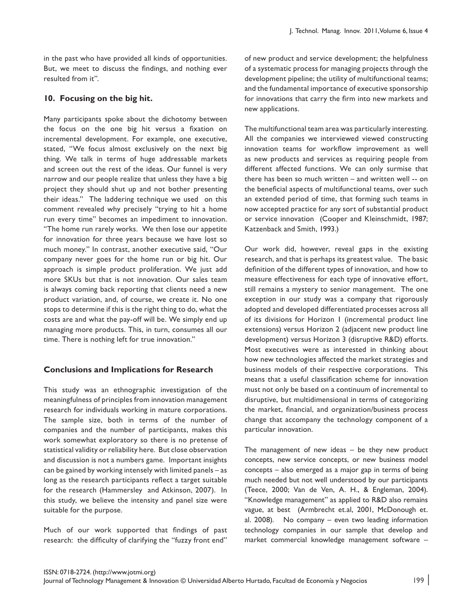in the past who have provided all kinds of opportunities. But, we meet to discuss the findings, and nothing ever resulted from it".

## **10. Focusing on the big hit.**

Many participants spoke about the dichotomy between the focus on the one big hit versus a fixation on incremental development. For example, one executive, stated, "We focus almost exclusively on the next big thing. We talk in terms of huge addressable markets and screen out the rest of the ideas. Our funnel is very narrow and our people realize that unless they have a big project they should shut up and not bother presenting their ideas." The laddering technique we used on this comment revealed why precisely "trying to hit a home run every time" becomes an impediment to innovation. "The home run rarely works. We then lose our appetite for innovation for three years because we have lost so much money." In contrast, another executive said, "Our company never goes for the home run or big hit. Our approach is simple product proliferation. We just add more SKUs but that is not innovation. Our sales team is always coming back reporting that clients need a new product variation, and, of course, we create it. No one stops to determine if this is the right thing to do, what the costs are and what the pay-off will be. We simply end up managing more products. This, in turn, consumes all our time. There is nothing left for true innovation."

## **Conclusions and Implications for Research**

This study was an ethnographic investigation of the meaningfulness of principles from innovation management research for individuals working in mature corporations. The sample size, both in terms of the number of companies and the number of participants, makes this work somewhat exploratory so there is no pretense of statistical validity or reliability here. But close observation and discussion is not a numbers game. Important insights can be gained by working intensely with limited panels – as long as the research participants reflect a target suitable for the research (Hammersley and Atkinson, 2007). In this study, we believe the intensity and panel size were suitable for the purpose.

Much of our work supported that findings of past research: the difficulty of clarifying the "fuzzy front end" of new product and service development; the helpfulness of a systematic process for managing projects through the development pipeline; the utility of multifunctional teams; and the fundamental importance of executive sponsorship for innovations that carry the firm into new markets and new applications.

The multifunctional team area was particularly interesting. All the companies we interviewed viewed constructing innovation teams for workflow improvement as well as new products and services as requiring people from different affected functions. We can only surmise that there has been so much written – and written well -- on the beneficial aspects of multifunctional teams, over such an extended period of time, that forming such teams in now accepted practice for any sort of substantial product or service innovation (Cooper and Kleinschmidt, 1987; Katzenback and Smith, 1993.)

Our work did, however, reveal gaps in the existing research, and that is perhaps its greatest value. The basic definition of the different types of innovation, and how to measure effectiveness for each type of innovative effort, still remains a mystery to senior management. The one exception in our study was a company that rigorously adopted and developed differentiated processes across all of its divisions for Horizon 1 (incremental product line extensions) versus Horizon 2 (adjacent new product line development) versus Horizon 3 (disruptive R&D) efforts. Most executives were as interested in thinking about how new technologies affected the market strategies and business models of their respective corporations. This means that a useful classification scheme for innovation must not only be based on a continuum of incremental to disruptive, but multidimensional in terms of categorizing the market, financial, and organization/business process change that accompany the technology component of a particular innovation.

The management of new ideas – be they new product concepts, new service concepts, or new business model concepts – also emerged as a major gap in terms of being much needed but not well understood by our participants (Teece, 2000; Van de Ven, A. H., & Engleman, 2004). "Knowledge management" as applied to R&D also remains vague, at best (Armbrecht et.al, 2001, McDonough et. al. 2008). No company – even two leading information technology companies in our sample that develop and market commercial knowledge management software –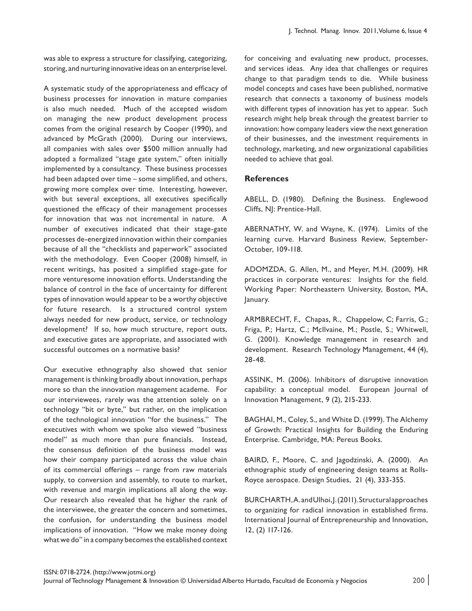was able to express a structure for classifying, categorizing, storing, and nurturing innovative ideas on an enterprise level.

A systematic study of the appropriateness and efficacy of business processes for innovation in mature companies is also much needed. Much of the accepted wisdom on managing the new product development process comes from the original research by Cooper (1990), and advanced by McGrath (2000). During our interviews, all companies with sales over \$500 million annually had adopted a formalized "stage gate system," often initially implemented by a consultancy. These business processes had been adapted over time – some simplified, and others, growing more complex over time. Interesting, however, with but several exceptions, all executives specifically questioned the efficacy of their management processes for innovation that was not incremental in nature. A number of executives indicated that their stage-gate processes de-energized innovation within their companies because of all the "checklists and paperwork" associated with the methodology. Even Cooper (2008) himself, in recent writings, has posited a simplified stage-gate for more venturesome innovation efforts. Understanding the balance of control in the face of uncertainty for different types of innovation would appear to be a worthy objective for future research. Is a structured control system always needed for new product, service, or technology development? If so, how much structure, report outs, and executive gates are appropriate, and associated with successful outcomes on a normative basis?

Our executive ethnography also showed that senior management is thinking broadly about innovation, perhaps more so than the innovation management academe. For our interviewees, rarely was the attention solely on a technology "bit or byte," but rather, on the implication of the technological innovation "for the business." The executives with whom we spoke also viewed "business model" as much more than pure financials. Instead, the consensus definition of the business model was how their company participated across the value chain of its commercial offerings – range from raw materials supply, to conversion and assembly, to route to market, with revenue and margin implications all along the way. Our research also revealed that he higher the rank of the interviewee, the greater the concern and sometimes, the confusion, for understanding the business model implications of innovation. "How we make money doing what we do" in a company becomes the established context for conceiving and evaluating new product, processes, and services ideas. Any idea that challenges or requires change to that paradigm tends to die. While business model concepts and cases have been published, normative research that connects a taxonomy of business models with different types of innovation has yet to appear. Such research might help break through the greatest barrier to innovation: how company leaders view the next generation of their businesses, and the investment requirements in technology, marketing, and new organizational capabilities needed to achieve that goal.

#### **References**

ABELL, D. (1980). Defining the Business. Englewood Cliffs, NJ: Prentice-Hall.

ABERNATHY, W. and Wayne, K. (1974). Limits of the learning curve. Harvard Business Review, September-October, 109-118.

ADOMZDA, G. Allen, M., and Meyer, M.H. (2009). HR practices in corporate ventures: Insights for the field. Working Paper: Northeastern University, Boston, MA, January.

ARMBRECHT, F., Chapas, R., Chappelow, C; Farris, G.; Friga, P.; Hartz, C.; McIlvaine, M.; Postle, S.; Whitwell, G. (2001). Knowledge management in research and development. Research Technology Management, 44 (4), 28-48.

ASSINK, M. (2006). Inhibitors of disruptive innovation capability: a conceptual model. European Journal of Innovation Management, 9 (2), 215-233.

BAGHAI, M., Coley, S., and White D. (1999). The Alchemy of Growth: Practical Insights for Building the Enduring Enterprise. Cambridge, MA: Pereus Books.

BAIRD, F., Moore, C. and Jagodzinski, A. (2000). An ethnographic study of engineering design teams at Rolls-Royce aerospace. Design Studies, 21 (4), 333-355.

BURCHARTH, A. and Ulhoi, J. (2011). Structural approaches to organizing for radical innovation in established firms. International Journal of Entrepreneurship and Innovation, 12, (2) 117-126.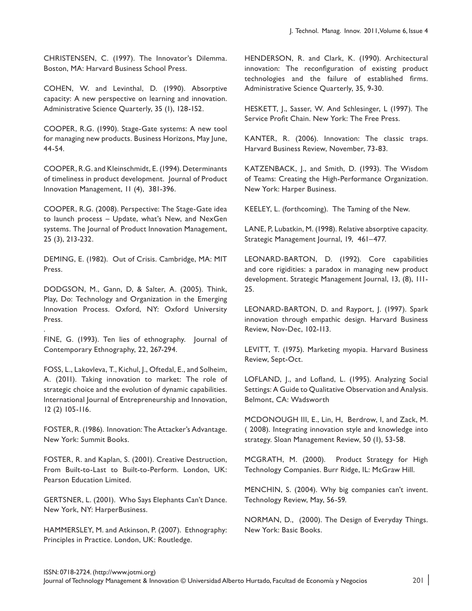CHRISTENSEN, C. (1997). The Innovator's Dilemma. Boston, MA: Harvard Business School Press.

COHEN, W. and Levinthal, D. (1990). Absorptive capacity: A new perspective on learning and innovation. Administrative Science Quarterly, 35 (1), 128-152.

COOPER, R.G. (1990). Stage-Gate systems: A new tool for managing new products. Business Horizons, May June, 44-54.

COOPER, R.G. and Kleinschmidt, E. (1994). Determinants of timeliness in product development. Journal of Product Innovation Management, 11 (4), 381-396.

COOPER, R.G. (2008). Perspective: The Stage-Gate idea to launch process – Update, what's New, and NexGen systems. The Journal of Product Innovation Management, 25 (3), 213-232.

DEMING, E. (1982). Out of Crisis. Cambridge, MA: MIT Press.

DODGSON, M., Gann, D, & Salter, A. (2005). Think, Play, Do: Technology and Organization in the Emerging Innovation Process. Oxford, NY: Oxford University Press.

FINE, G. (1993). Ten lies of ethnography. Journal of Contemporary Ethnography, 22, 267-294.

.

FOSS, L., Lakovleva, T., Kichul, J., Oftedal, E., and Solheim, A. (2011). Taking innovation to market: The role of strategic choice and the evolution of dynamic capabilities. International Journal of Entrepreneurship and Innovation, 12 (2) 105-116.

FOSTER, R. (1986). Innovation: The Attacker's Advantage. New York: Summit Books.

FOSTER, R. and Kaplan, S. (2001). Creative Destruction, From Built-to-Last to Built-to-Perform. London, UK: Pearson Education Limited.

GERTSNER, L. (2001). Who Says Elephants Can't Dance. New York, NY: HarperBusiness.

HAMMERSLEY, M. and Atkinson, P. (2007). Ethnography: Principles in Practice. London, UK: Routledge.

HENDERSON, R. and Clark, K. (1990). Architectural innovation: The reconfiguration of existing product technologies and the failure of established firms. Administrative Science Quarterly, 35, 9-30.

HESKETT, J., Sasser, W. And Schlesinger, L (1997). The Service Profit Chain. New York: The Free Press.

KANTER, R. (2006). Innovation: The classic traps. Harvard Business Review, November, 73-83.

KATZENBACK, J., and Smith, D. (1993). The Wisdom of Teams: Creating the High-Performance Organization. New York: Harper Business.

KEELEY, L. (forthcoming). The Taming of the New.

LANE, P, Lubatkin, M. (1998). Relative absorptive capacity. Strategic Management Journal, 19, 461–477.

LEONARD-BARTON, D. (1992). Core capabilities and core rigidities: a paradox in managing new product development. Strategic Management Journal, 13, (8), 111- 25.

LEONARD-BARTON, D. and Rayport, J. (1997). Spark innovation through empathic design. Harvard Business Review, Nov-Dec, 102-113.

LEVITT, T. (1975). Marketing myopia. Harvard Business Review, Sept-Oct.

LOFLAND, J., and Lofland, L. (1995). Analyzing Social Settings: A Guide to Qualitative Observation and Analysis. Belmont, CA: Wadsworth

MCDONOUGH III, E., Lin, H, Berdrow, I, and Zack, M. ( 2008). Integrating innovation style and knowledge into strategy. Sloan Management Review, 50 (1), 53-58.

MCGRATH, M. (2000). Product Strategy for High Technology Companies. Burr Ridge, IL: McGraw Hill.

MENCHIN, S. (2004). Why big companies can't invent. Technology Review, May, 56-59.

NORMAN, D., (2000). The Design of Everyday Things. New York: Basic Books.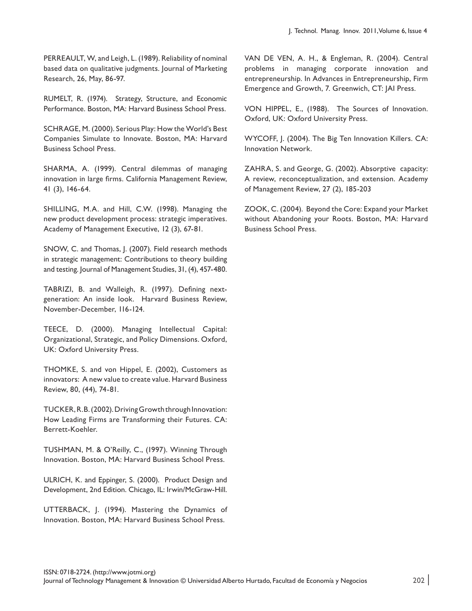PERREAULT, W, and Leigh, L. (1989). Reliability of nominal based data on qualitative judgments. Journal of Marketing Research, 26, May, 86-97.

RUMELT, R. (1974). Strategy, Structure, and Economic Performance. Boston, MA: Harvard Business School Press.

SCHRAGE, M. (2000). Serious Play: How the World's Best Companies Simulate to Innovate. Boston, MA: Harvard Business School Press.

SHARMA, A. (1999). Central dilemmas of managing innovation in large firms. California Management Review, 41 (3), 146-64.

SHILLING, M.A. and Hill, C.W. (1998). Managing the new product development process: strategic imperatives. Academy of Management Executive, 12 (3), 67-81.

SNOW, C. and Thomas, J. (2007). Field research methods in strategic management: Contributions to theory building and testing. Journal of Management Studies, 31, (4), 457-480.

TABRIZI, B. and Walleigh, R. (1997). Defining nextgeneration: An inside look. Harvard Business Review, November-December, 116-124.

TEECE, D. (2000). Managing Intellectual Capital: Organizational, Strategic, and Policy Dimensions. Oxford, UK: Oxford University Press.

THOMKE, S. and von Hippel, E. (2002), Customers as innovators: A new value to create value. Harvard Business Review, 80, (44), 74-81.

TUCKER, R.B. (2002). Driving Growth through Innovation: How Leading Firms are Transforming their Futures. CA: Berrett-Koehler.

TUSHMAN, M. & O'Reilly, C., (1997). Winning Through Innovation. Boston, MA: Harvard Business School Press.

ULRICH, K. and Eppinger, S. (2000). Product Design and Development, 2nd Edition. Chicago, IL: Irwin/McGraw-Hill.

UTTERBACK, J. (1994). Mastering the Dynamics of Innovation. Boston, MA: Harvard Business School Press.

VAN DE VEN, A. H., & Engleman, R. (2004). Central problems in managing corporate innovation and entrepreneurship. In Advances in Entrepreneurship, Firm Emergence and Growth, 7. Greenwich, CT: JAI Press.

VON HIPPEL, E., (1988). The Sources of Innovation. Oxford, UK: Oxford University Press.

WYCOFF, J. (2004). The Big Ten Innovation Killers. CA: Innovation Network.

ZAHRA, S. and George, G. (2002). Absorptive capacity: A review, reconceptualization, and extension. Academy of Management Review, 27 (2), 185-203

ZOOK, C. (2004). Beyond the Core: Expand your Market without Abandoning your Roots. Boston, MA: Harvard Business School Press.